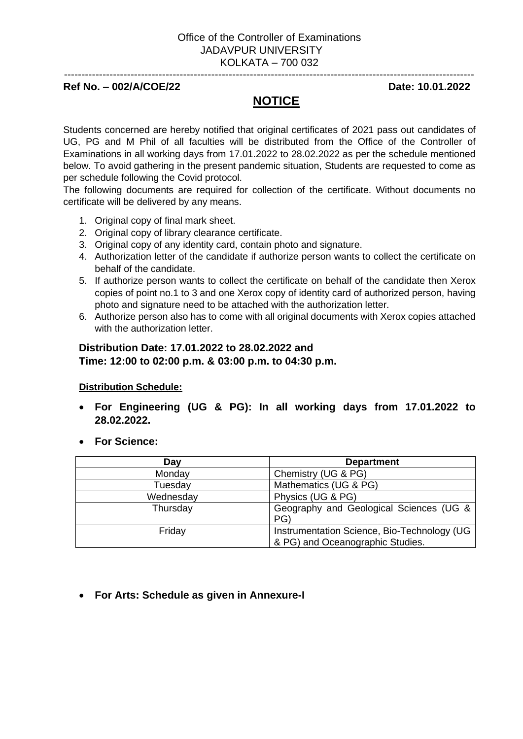#### --------------------------------------------------------------------------------------------------------------------- **Ref No. – 002/A/COE/22 Date: 10.01.2022**

## **NOTICE**

Students concerned are hereby notified that original certificates of 2021 pass out candidates of UG, PG and M Phil of all faculties will be distributed from the Office of the Controller of Examinations in all working days from 17.01.2022 to 28.02.2022 as per the schedule mentioned below. To avoid gathering in the present pandemic situation, Students are requested to come as per schedule following the Covid protocol.

The following documents are required for collection of the certificate. Without documents no certificate will be delivered by any means.

- 1. Original copy of final mark sheet.
- 2. Original copy of library clearance certificate.
- 3. Original copy of any identity card, contain photo and signature.
- 4. Authorization letter of the candidate if authorize person wants to collect the certificate on behalf of the candidate.
- 5. If authorize person wants to collect the certificate on behalf of the candidate then Xerox copies of point no.1 to 3 and one Xerox copy of identity card of authorized person, having photo and signature need to be attached with the authorization letter.
- 6. Authorize person also has to come with all original documents with Xerox copies attached with the authorization letter.

### **Distribution Date: 17.01.2022 to 28.02.2022 and Time: 12:00 to 02:00 p.m. & 03:00 p.m. to 04:30 p.m.**

#### **Distribution Schedule:**

- **For Engineering (UG & PG): In all working days from 17.01.2022 to 28.02.2022.**
- **For Science:**

| Day       | <b>Department</b>                                                               |  |
|-----------|---------------------------------------------------------------------------------|--|
| Monday    | Chemistry (UG & PG)                                                             |  |
| Tuesday   | Mathematics (UG & PG)                                                           |  |
| Wednesday | Physics (UG & PG)                                                               |  |
| Thursday  | Geography and Geological Sciences (UG &<br>PG                                   |  |
| Friday    | Instrumentation Science, Bio-Technology (UG<br>& PG) and Oceanographic Studies. |  |

• **For Arts: Schedule as given in Annexure-I**